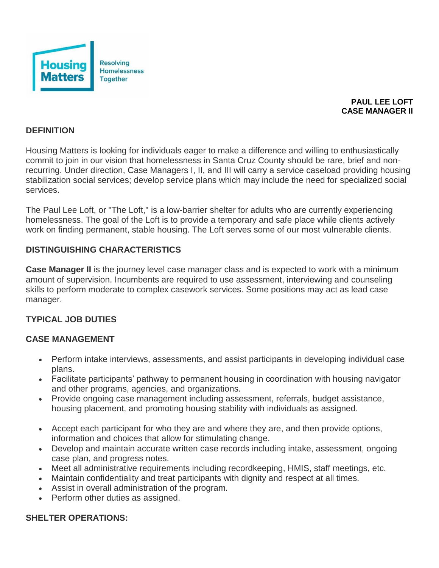

## **PAUL LEE LOFT CASE MANAGER II**

#### **DEFINITION**

Housing Matters is looking for individuals eager to make a difference and willing to enthusiastically commit to join in our vision that homelessness in Santa Cruz County should be rare, brief and nonrecurring. Under direction, Case Managers I, II, and III will carry a service caseload providing housing stabilization social services; develop service plans which may include the need for specialized social services.

The Paul Lee Loft, or "The Loft," is a low-barrier shelter for adults who are currently experiencing homelessness. The goal of the Loft is to provide a temporary and safe place while clients actively work on finding permanent, stable housing. The Loft serves some of our most vulnerable clients.

## **DISTINGUISHING CHARACTERISTICS**

**Case Manager II** is the journey level case manager class and is expected to work with a minimum amount of supervision. Incumbents are required to use assessment, interviewing and counseling skills to perform moderate to complex casework services. Some positions may act as lead case manager.

# **TYPICAL JOB DUTIES**

#### **CASE MANAGEMENT**

- Perform intake interviews, assessments, and assist participants in developing individual case plans.
- Facilitate participants' pathway to permanent housing in coordination with housing navigator and other programs, agencies, and organizations.
- Provide ongoing case management including assessment, referrals, budget assistance, housing placement, and promoting housing stability with individuals as assigned.
- Accept each participant for who they are and where they are, and then provide options, information and choices that allow for stimulating change.
- Develop and maintain accurate written case records including intake, assessment, ongoing case plan, and progress notes.
- Meet all administrative requirements including recordkeeping, HMIS, staff meetings, etc.
- Maintain confidentiality and treat participants with dignity and respect at all times.
- Assist in overall administration of the program.
- Perform other duties as assigned.

#### **SHELTER OPERATIONS:**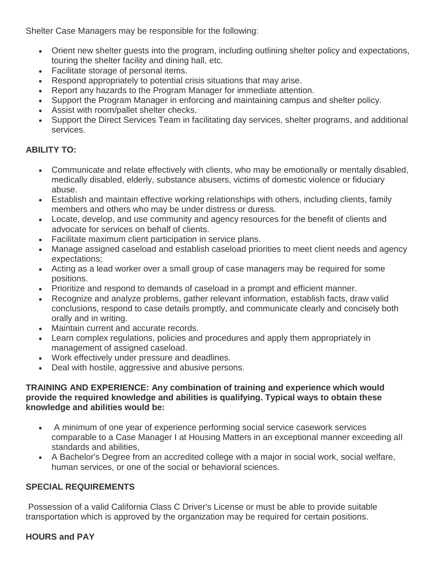Shelter Case Managers may be responsible for the following:

- Orient new shelter guests into the program, including outlining shelter policy and expectations, touring the shelter facility and dining hall, etc.
- Facilitate storage of personal items.
- Respond appropriately to potential crisis situations that may arise.
- Report any hazards to the Program Manager for immediate attention.
- Support the Program Manager in enforcing and maintaining campus and shelter policy.
- Assist with room/pallet shelter checks.
- Support the Direct Services Team in facilitating day services, shelter programs, and additional services.

# **ABILITY TO:**

- Communicate and relate effectively with clients, who may be emotionally or mentally disabled, medically disabled, elderly, substance abusers, victims of domestic violence or fiduciary abuse.
- Establish and maintain effective working relationships with others, including clients, family members and others who may be under distress or duress.
- Locate, develop, and use community and agency resources for the benefit of clients and advocate for services on behalf of clients.
- Facilitate maximum client participation in service plans.
- Manage assigned caseload and establish caseload priorities to meet client needs and agency expectations;
- Acting as a lead worker over a small group of case managers may be required for some positions.
- Prioritize and respond to demands of caseload in a prompt and efficient manner.
- Recognize and analyze problems, gather relevant information, establish facts, draw valid conclusions, respond to case details promptly, and communicate clearly and concisely both orally and in writing.
- Maintain current and accurate records.
- Learn complex regulations, policies and procedures and apply them appropriately in management of assigned caseload.
- Work effectively under pressure and deadlines.
- Deal with hostile, aggressive and abusive persons.

#### **TRAINING AND EXPERIENCE: Any combination of training and experience which would provide the required knowledge and abilities is qualifying. Typical ways to obtain these knowledge and abilities would be:**

- A minimum of one year of experience performing social service casework services comparable to a Case Manager I at Housing Matters in an exceptional manner exceeding all standards and abilities,
- A Bachelor's Degree from an accredited college with a major in social work, social welfare, human services, or one of the social or behavioral sciences.

# **SPECIAL REQUIREMENTS**

Possession of a valid California Class C Driver's License or must be able to provide suitable transportation which is approved by the organization may be required for certain positions.

# **HOURS and PAY**